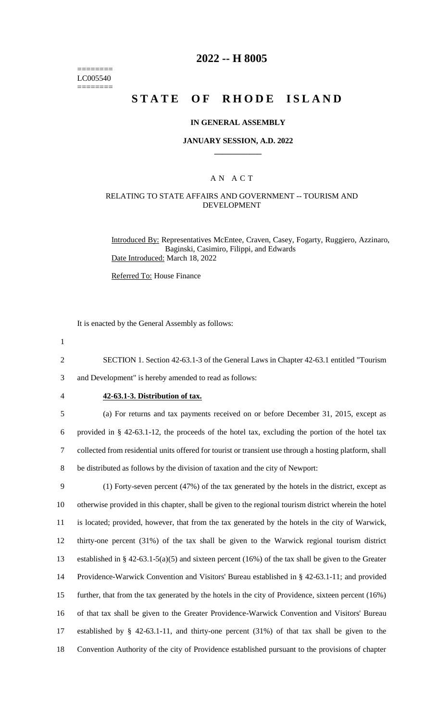======== LC005540 ========

## **2022 -- H 8005**

# **STATE OF RHODE ISLAND**

#### **IN GENERAL ASSEMBLY**

#### **JANUARY SESSION, A.D. 2022 \_\_\_\_\_\_\_\_\_\_\_\_**

### A N A C T

### RELATING TO STATE AFFAIRS AND GOVERNMENT -- TOURISM AND DEVELOPMENT

Introduced By: Representatives McEntee, Craven, Casey, Fogarty, Ruggiero, Azzinaro, Baginski, Casimiro, Filippi, and Edwards Date Introduced: March 18, 2022

Referred To: House Finance

It is enacted by the General Assembly as follows:

1

2 SECTION 1. Section 42-63.1-3 of the General Laws in Chapter 42-63.1 entitled "Tourism 3 and Development" is hereby amended to read as follows:

#### 4 **42-63.1-3. Distribution of tax.**

 (a) For returns and tax payments received on or before December 31, 2015, except as provided in § 42-63.1-12, the proceeds of the hotel tax, excluding the portion of the hotel tax collected from residential units offered for tourist or transient use through a hosting platform, shall be distributed as follows by the division of taxation and the city of Newport:

 (1) Forty-seven percent (47%) of the tax generated by the hotels in the district, except as otherwise provided in this chapter, shall be given to the regional tourism district wherein the hotel is located; provided, however, that from the tax generated by the hotels in the city of Warwick, thirty-one percent (31%) of the tax shall be given to the Warwick regional tourism district established in § 42-63.1-5(a)(5) and sixteen percent (16%) of the tax shall be given to the Greater Providence-Warwick Convention and Visitors' Bureau established in § 42-63.1-11; and provided further, that from the tax generated by the hotels in the city of Providence, sixteen percent (16%) of that tax shall be given to the Greater Providence-Warwick Convention and Visitors' Bureau established by § 42-63.1-11, and thirty-one percent (31%) of that tax shall be given to the Convention Authority of the city of Providence established pursuant to the provisions of chapter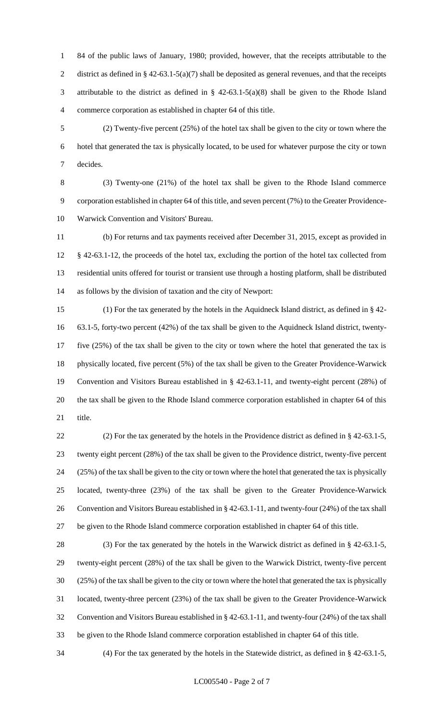84 of the public laws of January, 1980; provided, however, that the receipts attributable to the 2 district as defined in § 42-63.1-5(a)(7) shall be deposited as general revenues, and that the receipts attributable to the district as defined in § 42-63.1-5(a)(8) shall be given to the Rhode Island commerce corporation as established in chapter 64 of this title.

 (2) Twenty-five percent (25%) of the hotel tax shall be given to the city or town where the hotel that generated the tax is physically located, to be used for whatever purpose the city or town decides.

 (3) Twenty-one (21%) of the hotel tax shall be given to the Rhode Island commerce corporation established in chapter 64 of this title, and seven percent (7%) to the Greater Providence-Warwick Convention and Visitors' Bureau.

 (b) For returns and tax payments received after December 31, 2015, except as provided in § 42-63.1-12, the proceeds of the hotel tax, excluding the portion of the hotel tax collected from residential units offered for tourist or transient use through a hosting platform, shall be distributed as follows by the division of taxation and the city of Newport:

 (1) For the tax generated by the hotels in the Aquidneck Island district, as defined in § 42- 63.1-5, forty-two percent (42%) of the tax shall be given to the Aquidneck Island district, twenty- five (25%) of the tax shall be given to the city or town where the hotel that generated the tax is physically located, five percent (5%) of the tax shall be given to the Greater Providence-Warwick Convention and Visitors Bureau established in § 42-63.1-11, and twenty-eight percent (28%) of the tax shall be given to the Rhode Island commerce corporation established in chapter 64 of this title.

 (2) For the tax generated by the hotels in the Providence district as defined in § 42-63.1-5, twenty eight percent (28%) of the tax shall be given to the Providence district, twenty-five percent (25%) of the tax shall be given to the city or town where the hotel that generated the tax is physically located, twenty-three (23%) of the tax shall be given to the Greater Providence-Warwick Convention and Visitors Bureau established in § 42-63.1-11, and twenty-four (24%) of the tax shall be given to the Rhode Island commerce corporation established in chapter 64 of this title.

 (3) For the tax generated by the hotels in the Warwick district as defined in § 42-63.1-5, twenty-eight percent (28%) of the tax shall be given to the Warwick District, twenty-five percent (25%) of the tax shall be given to the city or town where the hotel that generated the tax is physically located, twenty-three percent (23%) of the tax shall be given to the Greater Providence-Warwick Convention and Visitors Bureau established in § 42-63.1-11, and twenty-four (24%) of the tax shall be given to the Rhode Island commerce corporation established in chapter 64 of this title.

(4) For the tax generated by the hotels in the Statewide district, as defined in § 42-63.1-5,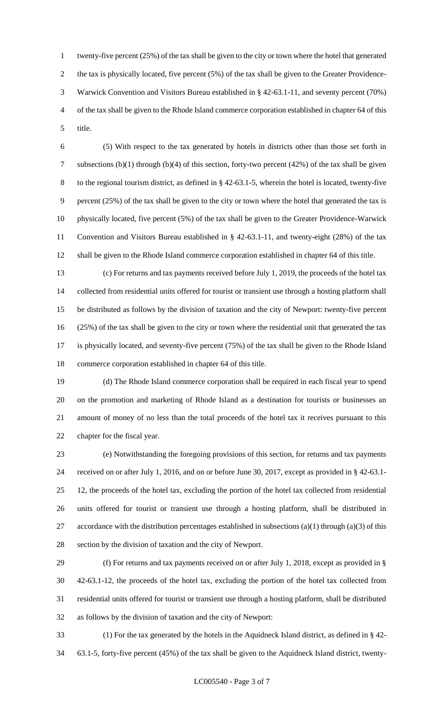twenty-five percent (25%) of the tax shall be given to the city or town where the hotel that generated the tax is physically located, five percent (5%) of the tax shall be given to the Greater Providence- Warwick Convention and Visitors Bureau established in § 42-63.1-11, and seventy percent (70%) of the tax shall be given to the Rhode Island commerce corporation established in chapter 64 of this title.

 (5) With respect to the tax generated by hotels in districts other than those set forth in subsections (b)(1) through (b)(4) of this section, forty-two percent (42%) of the tax shall be given to the regional tourism district, as defined in § 42-63.1-5, wherein the hotel is located, twenty-five percent (25%) of the tax shall be given to the city or town where the hotel that generated the tax is physically located, five percent (5%) of the tax shall be given to the Greater Providence-Warwick Convention and Visitors Bureau established in § 42-63.1-11, and twenty-eight (28%) of the tax shall be given to the Rhode Island commerce corporation established in chapter 64 of this title.

 (c) For returns and tax payments received before July 1, 2019, the proceeds of the hotel tax collected from residential units offered for tourist or transient use through a hosting platform shall be distributed as follows by the division of taxation and the city of Newport: twenty-five percent (25%) of the tax shall be given to the city or town where the residential unit that generated the tax is physically located, and seventy-five percent (75%) of the tax shall be given to the Rhode Island commerce corporation established in chapter 64 of this title.

 (d) The Rhode Island commerce corporation shall be required in each fiscal year to spend on the promotion and marketing of Rhode Island as a destination for tourists or businesses an amount of money of no less than the total proceeds of the hotel tax it receives pursuant to this chapter for the fiscal year.

 (e) Notwithstanding the foregoing provisions of this section, for returns and tax payments received on or after July 1, 2016, and on or before June 30, 2017, except as provided in § 42-63.1- 12, the proceeds of the hotel tax, excluding the portion of the hotel tax collected from residential units offered for tourist or transient use through a hosting platform, shall be distributed in 27 accordance with the distribution percentages established in subsections (a)(1) through (a)(3) of this section by the division of taxation and the city of Newport.

 (f) For returns and tax payments received on or after July 1, 2018, except as provided in § 42-63.1-12, the proceeds of the hotel tax, excluding the portion of the hotel tax collected from residential units offered for tourist or transient use through a hosting platform, shall be distributed as follows by the division of taxation and the city of Newport:

 (1) For the tax generated by the hotels in the Aquidneck Island district, as defined in § 42- 63.1-5, forty-five percent (45%) of the tax shall be given to the Aquidneck Island district, twenty-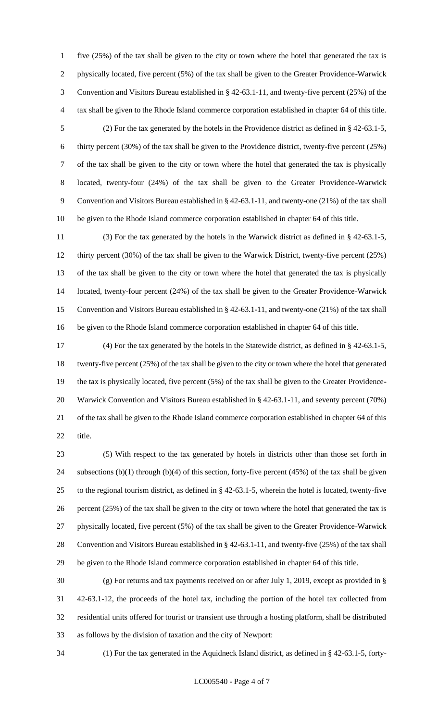five (25%) of the tax shall be given to the city or town where the hotel that generated the tax is physically located, five percent (5%) of the tax shall be given to the Greater Providence-Warwick Convention and Visitors Bureau established in § 42-63.1-11, and twenty-five percent (25%) of the tax shall be given to the Rhode Island commerce corporation established in chapter 64 of this title. (2) For the tax generated by the hotels in the Providence district as defined in § 42-63.1-5, thirty percent (30%) of the tax shall be given to the Providence district, twenty-five percent (25%) of the tax shall be given to the city or town where the hotel that generated the tax is physically located, twenty-four (24%) of the tax shall be given to the Greater Providence-Warwick Convention and Visitors Bureau established in § 42-63.1-11, and twenty-one (21%) of the tax shall be given to the Rhode Island commerce corporation established in chapter 64 of this title.

 (3) For the tax generated by the hotels in the Warwick district as defined in § 42-63.1-5, thirty percent (30%) of the tax shall be given to the Warwick District, twenty-five percent (25%) of the tax shall be given to the city or town where the hotel that generated the tax is physically located, twenty-four percent (24%) of the tax shall be given to the Greater Providence-Warwick Convention and Visitors Bureau established in § 42-63.1-11, and twenty-one (21%) of the tax shall be given to the Rhode Island commerce corporation established in chapter 64 of this title.

 (4) For the tax generated by the hotels in the Statewide district, as defined in § 42-63.1-5, twenty-five percent (25%) of the tax shall be given to the city or town where the hotel that generated the tax is physically located, five percent (5%) of the tax shall be given to the Greater Providence- Warwick Convention and Visitors Bureau established in § 42-63.1-11, and seventy percent (70%) of the tax shall be given to the Rhode Island commerce corporation established in chapter 64 of this title.

 (5) With respect to the tax generated by hotels in districts other than those set forth in subsections (b)(1) through (b)(4) of this section, forty-five percent (45%) of the tax shall be given to the regional tourism district, as defined in § 42-63.1-5, wherein the hotel is located, twenty-five percent (25%) of the tax shall be given to the city or town where the hotel that generated the tax is physically located, five percent (5%) of the tax shall be given to the Greater Providence-Warwick Convention and Visitors Bureau established in § 42-63.1-11, and twenty-five (25%) of the tax shall be given to the Rhode Island commerce corporation established in chapter 64 of this title.

 (g) For returns and tax payments received on or after July 1, 2019, except as provided in § 42-63.1-12, the proceeds of the hotel tax, including the portion of the hotel tax collected from residential units offered for tourist or transient use through a hosting platform, shall be distributed as follows by the division of taxation and the city of Newport:

(1) For the tax generated in the Aquidneck Island district, as defined in § 42-63.1-5, forty-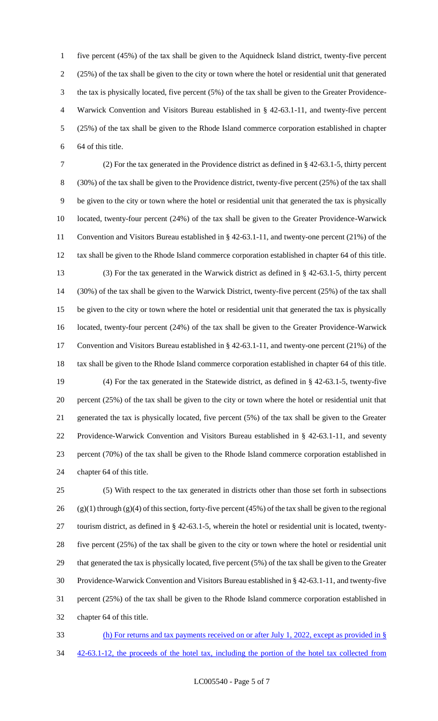five percent (45%) of the tax shall be given to the Aquidneck Island district, twenty-five percent (25%) of the tax shall be given to the city or town where the hotel or residential unit that generated the tax is physically located, five percent (5%) of the tax shall be given to the Greater Providence- Warwick Convention and Visitors Bureau established in § 42-63.1-11, and twenty-five percent (25%) of the tax shall be given to the Rhode Island commerce corporation established in chapter 64 of this title.

 (2) For the tax generated in the Providence district as defined in § 42-63.1-5, thirty percent (30%) of the tax shall be given to the Providence district, twenty-five percent (25%) of the tax shall be given to the city or town where the hotel or residential unit that generated the tax is physically located, twenty-four percent (24%) of the tax shall be given to the Greater Providence-Warwick Convention and Visitors Bureau established in § 42-63.1-11, and twenty-one percent (21%) of the tax shall be given to the Rhode Island commerce corporation established in chapter 64 of this title. (3) For the tax generated in the Warwick district as defined in § 42-63.1-5, thirty percent (30%) of the tax shall be given to the Warwick District, twenty-five percent (25%) of the tax shall be given to the city or town where the hotel or residential unit that generated the tax is physically located, twenty-four percent (24%) of the tax shall be given to the Greater Providence-Warwick Convention and Visitors Bureau established in § 42-63.1-11, and twenty-one percent (21%) of the tax shall be given to the Rhode Island commerce corporation established in chapter 64 of this title. (4) For the tax generated in the Statewide district, as defined in § 42-63.1-5, twenty-five percent (25%) of the tax shall be given to the city or town where the hotel or residential unit that generated the tax is physically located, five percent (5%) of the tax shall be given to the Greater Providence-Warwick Convention and Visitors Bureau established in § 42-63.1-11, and seventy percent (70%) of the tax shall be given to the Rhode Island commerce corporation established in chapter 64 of this title.

 (5) With respect to the tax generated in districts other than those set forth in subsections 26 (g)(1) through (g)(4) of this section, forty-five percent (45%) of the tax shall be given to the regional tourism district, as defined in § 42-63.1-5, wherein the hotel or residential unit is located, twenty- five percent (25%) of the tax shall be given to the city or town where the hotel or residential unit that generated the tax is physically located, five percent (5%) of the tax shall be given to the Greater Providence-Warwick Convention and Visitors Bureau established in § 42-63.1-11, and twenty-five percent (25%) of the tax shall be given to the Rhode Island commerce corporation established in chapter 64 of this title.

 (h) For returns and tax payments received on or after July 1, 2022, except as provided in § 34 42-63.1-12, the proceeds of the hotel tax, including the portion of the hotel tax collected from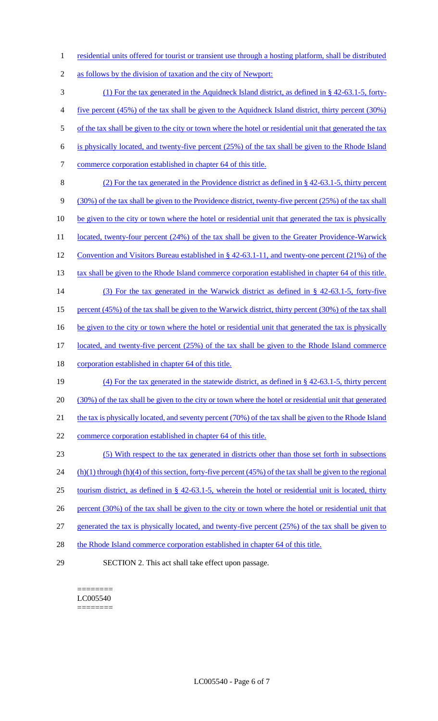1 residential units offered for tourist or transient use through a hosting platform, shall be distributed

2 as follows by the division of taxation and the city of Newport:

3 (1) For the tax generated in the Aquidneck Island district, as defined in § 42-63.1-5, forty-4 five percent (45%) of the tax shall be given to the Aquidneck Island district, thirty percent (30%) 5 of the tax shall be given to the city or town where the hotel or residential unit that generated the tax 6 is physically located, and twenty-five percent (25%) of the tax shall be given to the Rhode Island 7 commerce corporation established in chapter 64 of this title. 8 (2) For the tax generated in the Providence district as defined in § 42-63.1-5, thirty percent 9 (30%) of the tax shall be given to the Providence district, twenty-five percent (25%) of the tax shall 10 be given to the city or town where the hotel or residential unit that generated the tax is physically 11 located, twenty-four percent (24%) of the tax shall be given to the Greater Providence-Warwick 12 Convention and Visitors Bureau established in § 42-63.1-11, and twenty-one percent (21%) of the 13 tax shall be given to the Rhode Island commerce corporation established in chapter 64 of this title. 14 (3) For the tax generated in the Warwick district as defined in § 42-63.1-5, forty-five 15 percent (45%) of the tax shall be given to the Warwick district, thirty percent (30%) of the tax shall 16 be given to the city or town where the hotel or residential unit that generated the tax is physically 17 located, and twenty-five percent (25%) of the tax shall be given to the Rhode Island commerce 18 corporation established in chapter 64 of this title. 19 (4) For the tax generated in the statewide district, as defined in § 42-63.1-5, thirty percent 20 (30%) of the tax shall be given to the city or town where the hotel or residential unit that generated 21 the tax is physically located, and seventy percent (70%) of the tax shall be given to the Rhode Island 22 commerce corporation established in chapter 64 of this title. 23 (5) With respect to the tax generated in districts other than those set forth in subsections 24 (h)(1) through (h)(4) of this section, forty-five percent (45%) of the tax shall be given to the regional 25 tourism district, as defined in § 42-63.1-5, wherein the hotel or residential unit is located, thirty 26 percent (30%) of the tax shall be given to the city or town where the hotel or residential unit that 27 generated the tax is physically located, and twenty-five percent (25%) of the tax shall be given to 28 the Rhode Island commerce corporation established in chapter 64 of this title. 29 SECTION 2. This act shall take effect upon passage.

======== LC005540 ========